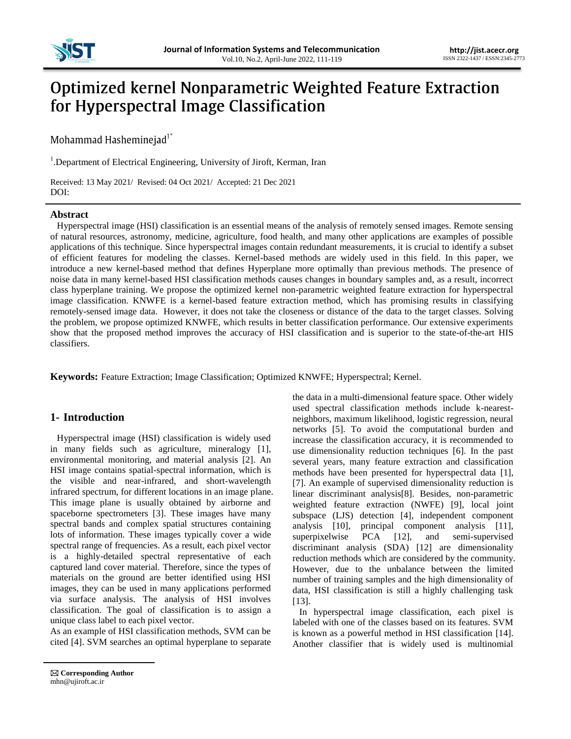

# **Optimized kernel Nonparametric Weighted Feature Extraction** for Hyperspectral Image Classification

Mohammad Hasheminejad<sup>1\*</sup>

<sup>1</sup>. Department of Electrical Engineering, University of Jiroft, Kerman, Iran

Received: 13 May 2021/ Revised: 04 Oct 2021/ Accepted: 21 Dec 2021 DOI:

#### **Abstract**

Hyperspectral image (HSI) classification is an essential means of the analysis of remotely sensed images. Remote sensing of natural resources, astronomy, medicine, agriculture, food health, and many other applications are examples of possible applications of this technique. Since hyperspectral images contain redundant measurements, it is crucial to identify a subset of efficient features for modeling the classes. Kernel-based methods are widely used in this field. In this paper, we introduce a new kernel-based method that defines Hyperplane more optimally than previous methods. The presence of noise data in many kernel-based HSI classification methods causes changes in boundary samples and, as a result, incorrect class hyperplane training. We propose the optimized kernel non-parametric weighted feature extraction for hyperspectral image classification. KNWFE is a kernel-based feature extraction method, which has promising results in classifying remotely-sensed image data. However, it does not take the closeness or distance of the data to the target classes. Solving the problem, we propose optimized KNWFE, which results in better classification performance. Our extensive experiments show that the proposed method improves the accuracy of HSI classification and is superior to the state-of-the-art HIS classifiers.

**Keywords:** Feature Extraction; Image Classification; Optimized KNWFE; Hyperspectral; Kernel.

# **1- Introduction**

Hyperspectral image (HSI) classification is widely used in many fields such as agriculture, mineralogy [1], environmental monitoring, and material analysis [2]. An HSI image contains spatial-spectral information, which is the visible and near-infrared, and short-wavelength infrared spectrum, for different locations in an image plane. This image plane is usually obtained by airborne and spaceborne spectrometers [3]. These images have many spectral bands and complex spatial structures containing lots of information. These images typically cover a wide spectral range of frequencies. As a result, each pixel vector is a highly-detailed spectral representative of each captured land cover material. Therefore, since the types of materials on the ground are better identified using HSI images, they can be used in many applications performed via surface analysis. The analysis of HSI involves classification. The goal of classification is to assign a unique class label to each pixel vector.

As an example of HSI classification methods, SVM can be cited [4]. SVM searches an optimal hyperplane to separate

networks [5]. To avoid the computational burden and increase the classification accuracy, it is recommended to use dimensionality reduction techniques [6]. In the past several years, many feature extraction and classification methods have been presented for hyperspectral data [1], [7]. An example of supervised dimensionality reduction is linear discriminant analysis[8]. Besides, non-parametric weighted feature extraction (NWFE) [9], local joint subspace (LJS) detection [4], independent component analysis [10], principal component analysis [11], superpixelwise PCA [12], and semi-supervised discriminant analysis (SDA) [12] are dimensionality reduction methods which are considered by the community. However, due to the unbalance between the limited number of training samples and the high dimensionality of data, HSI classification is still a highly challenging task [13]. In hyperspectral image classification, each pixel is

labeled with one of the classes based on its features. SVM is known as a powerful method in HSI classification [14]. Another classifier that is widely used is multinomial

the data in a multi-dimensional feature space. Other widely used spectral classification methods include k-nearestneighbors, maximum likelihood, logistic regression, neural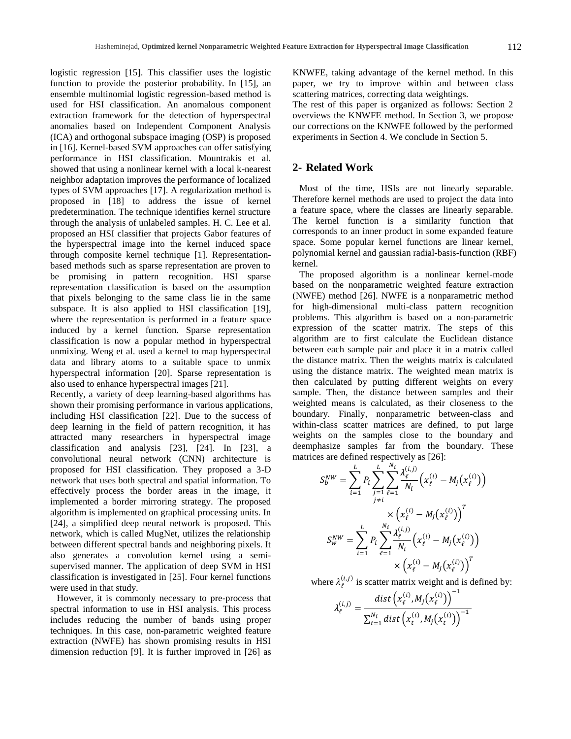logistic regression [15]. This classifier uses the logistic function to provide the posterior probability. In [15], an ensemble multinomial logistic regression-based method is used for HSI classification. An anomalous component extraction framework for the detection of hyperspectral anomalies based on Independent Component Analysis (ICA) and orthogonal subspace imaging (OSP) is proposed in [16]. Kernel-based SVM approaches can offer satisfying performance in HSI classification. Mountrakis et al. showed that using a nonlinear kernel with a local k-nearest neighbor adaptation improves the performance of localized types of SVM approaches [17]. A regularization method is proposed in [18] to address the issue of kernel predetermination. The technique identifies kernel structure through the analysis of unlabeled samples. H. C. Lee et al. proposed an HSI classifier that projects Gabor features of the hyperspectral image into the kernel induced space through composite kernel technique [1]. Representationbased methods such as sparse representation are proven to be promising in pattern recognition. HSI sparse representation classification is based on the assumption that pixels belonging to the same class lie in the same subspace. It is also applied to HSI classification [19], where the representation is performed in a feature space induced by a kernel function. Sparse representation classification is now a popular method in hyperspectral unmixing. Weng et al. used a kernel to map hyperspectral data and library atoms to a suitable space to unmix hyperspectral information [20]. Sparse representation is also used to enhance hyperspectral images [21].

Recently, a variety of deep learning-based algorithms has shown their promising performance in various applications, including HSI classification [22]. Due to the success of deep learning in the field of pattern recognition, it has attracted many researchers in hyperspectral image classification and analysis [23], [24]. In [23], a convolutional neural network (CNN) architecture is proposed for HSI classification. They proposed a 3-D network that uses both spectral and spatial information. To effectively process the border areas in the image, it implemented a border mirroring strategy. The proposed algorithm is implemented on graphical processing units. In [24], a simplified deep neural network is proposed. This network, which is called MugNet, utilizes the relationship between different spectral bands and neighboring pixels. It also generates a convolution kernel using a semisupervised manner. The application of deep SVM in HSI classification is investigated in [25]. Four kernel functions were used in that study.

However, it is commonly necessary to pre-process that spectral information to use in HSI analysis. This process includes reducing the number of bands using proper techniques. In this case, non-parametric weighted feature extraction (NWFE) has shown promising results in HSI dimension reduction [9]. It is further improved in [26] as

KNWFE, taking advantage of the kernel method. In this paper, we try to improve within and between class scattering matrices, correcting data weightings.

The rest of this paper is organized as follows: Section 2 overviews the KNWFE method. In Section 3, we propose our corrections on the KNWFE followed by the performed experiments in Section 4. We conclude in Section 5.

## **2- Related Work**

Most of the time, HSIs are not linearly separable. Therefore kernel methods are used to project the data into a feature space, where the classes are linearly separable. The kernel function is a similarity function that corresponds to an inner product in some expanded feature space. Some popular kernel functions are linear kernel, polynomial kernel and gaussian radial-basis-function (RBF) kernel.

The proposed algorithm is a nonlinear kernel-mode based on the nonparametric weighted feature extraction (NWFE) method [26]. NWFE is a nonparametric method for high-dimensional multi-class pattern recognition problems. This algorithm is based on a non-parametric expression of the scatter matrix. The steps of this algorithm are to first calculate the Euclidean distance between each sample pair and place it in a matrix called the distance matrix. Then the weights matrix is calculated using the distance matrix. The weighted mean matrix is then calculated by putting different weights on every sample. Then, the distance between samples and their weighted means is calculated, as their closeness to the boundary. Finally, nonparametric between-class and within-class scatter matrices are defined, to put large weights on the samples close to the boundary and deemphasize samples far from the boundary. These matrices are defined respectively as [26]:

$$
S_b^{NW} = \sum_{i=1}^{L} P_i \sum_{j=1}^{L} \sum_{\ell=1}^{N_i} \frac{\lambda_{\ell}^{(i,j)}}{N_i} \left( x_{\ell}^{(i)} - M_j(x_{\ell}^{(i)}) \right)
$$

$$
\times \left( x_{\ell}^{(i)} - M_j(x_{\ell}^{(i)}) \right)^T
$$

$$
S_w^{NW} = \sum_{i=1}^{L} P_i \sum_{\ell=1}^{N_i} \frac{\lambda_{\ell}^{(i,j)}}{N_i} \left( x_{\ell}^{(i)} - M_j(x_{\ell}^{(i)}) \right)
$$

$$
\times \left( x_{\ell}^{(i)} - M_j(x_{\ell}^{(i)}) \right)^T
$$

where  $\lambda_{\ell}^{(i,j)}$  is scatter matrix weight and is defined by:

$$
\lambda_{\ell}^{(i,j)} = \frac{dist\left(x_{\ell}^{(i)}, M_j(x_{\ell}^{(i)})\right)^{-1}}{\sum_{t=1}^{N_i} dist\left(x_t^{(i)}, M_j(x_t^{(i)})\right)^{-1}}
$$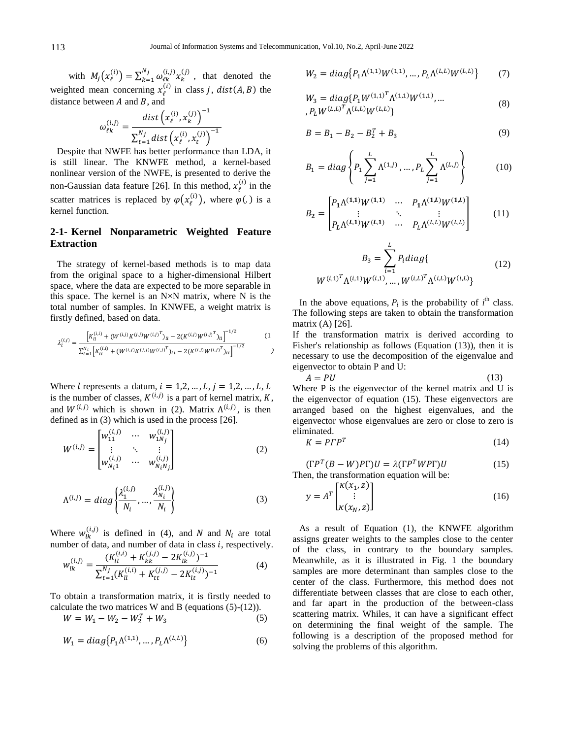with  $M_i(x_i^{(i)}) = \sum_{k=1}^{N_j} \omega_{\ell k}^{(i,j)} x_k^{(j)}$  $\int_{k=1}^{N} \omega_{\ell k}^{(l,J)} x_k^{(J)}$ , that denoted the weighted mean concerning  $x_i^{(i)}$  in class *j*, *dist*(*A*, *B*) the distance between  $A$  and  $B$ , and

$$
\omega_{\ell k}^{(i,j)} = \frac{dist\left(x_{\ell}^{(i)}, x_{k}^{(j)}\right)^{-1}}{\sum_{t=1}^{N_{j}} dist\left(x_{\ell}^{(i)}, x_{t}^{(j)}\right)^{-1}}
$$

Despite that NWFE has better performance than LDA, it is still linear. The KNWFE method, a kernel-based nonlinear version of the NWFE, is presented to derive the non-Gaussian data feature [26]. In this method,  $x_i^{(i)}$  in the scatter matrices is replaced by  $\varphi(x_{\ell}^{(i)})$ , where  $\varphi(.)$  is a kernel function.

# **2-1- Kernel Nonparametric Weighted Feature Extraction**

The strategy of kernel-based methods is to map data from the original space to a higher-dimensional Hilbert space, where the data are expected to be more separable in this space. The kernel is an  $N \times N$  matrix, where N is the total number of samples. In KNWFE, a weight matrix is firstly defined, based on data.

$$
\lambda_l^{(i,j)} = \frac{\left[K_{ll}^{(i,i)} + (W^{(i,j)}K^{(j,j)}W^{(i,j)}^T)_u - 2(K^{(i,j)}W^{(i,j)}^T)_u\right]^{-1/2}}{\sum_{t=1}^{N_i} \left[K_{tt}^{(i,i)} + (W^{(i,j)}K^{(j,j)}W^{(i,j)}^T)_{tt} - 2(K^{(i,j)}W^{(i,j)}^T)_{tt}\right]^{-1/2}}
$$
(1)

Where l represents a datum,  $i = 1, 2, ..., L$ ,  $j = 1, 2, ..., L$ , L is the number of classes,  $K^{(i,j)}$  is a part of kernel matrix, K, and  $W^{(i,j)}$  which is shown in (2). Matrix  $\Lambda^{(i,j)}$ , is then defined as in (3) which is used in the process [26].

$$
W^{(i,j)} = \begin{bmatrix} w_{11}^{(i,j)} & \cdots & w_{1N_j}^{(i,j)} \\ \vdots & \ddots & \vdots \\ w_{N_i1}^{(i,j)} & \cdots & w_{N_iN_j}^{(i,j)} \end{bmatrix}
$$
 (2)

$$
\Lambda^{(i,j)} = diag\left\{\frac{\lambda_1^{(i,j)}}{N_i}, \dots, \frac{\lambda_{N_i}^{(i,j)}}{N_i}\right\}
$$
\n(3)

Where  $w_{lk}^{(i,j)}$  is defined in (4), and N and N<sub>i</sub> are total number of data, and number of data in class  $i$ , respectively.

$$
w_{lk}^{(i,j)} = \frac{(K_{ll}^{(i,i)} + K_{kk}^{(j,j)} - 2K_{lk}^{(i,j)})^{-1}}{\sum_{t=1}^{N_j} (K_{ll}^{(i,i)} + K_{tt}^{(j,j)} - 2K_{lt}^{(i,j)})^{-1}}
$$
(4)

To obtain a transformation matrix, it is firstly needed to calculate the two matrices W and B (equations (5)-(12)).

$$
W = W_1 - W_2 - W_2^T + W_3 \tag{5}
$$

$$
W_1 = diag\{P_1 \Lambda^{(1,1)}, \dots, P_L \Lambda^{(L,L)}\}
$$
 (6)

$$
W_2 = diag\{P_1 \Lambda^{(1,1)} W^{(1,1)}, \dots, P_L \Lambda^{(L,L)} W^{(L,L)}\}
$$
 (7)

$$
W_3 = diag\{P_1 W^{(1,1)^T} \Lambda^{(1,1)} W^{(1,1)}, \dots
$$
  
, 
$$
P_L W^{(L,L)^T} \Lambda^{(L,L)} W^{(L,L)}\}
$$
 (8)

$$
B = B_1 - B_2 - B_2^T + B_3 \tag{9}
$$

$$
B_1 = diag\left\{ P_1 \sum_{j=1}^{L} \Lambda^{(1,j)}, \dots, P_L \sum_{j=1}^{L} \Lambda^{(L,j)} \right\}
$$
 (10)

$$
B_2 = \begin{bmatrix} P_1 \Lambda^{(1,1)} W^{(1,1)} & \cdots & P_1 \Lambda^{(1,L)} W^{(1,L)} \\ \vdots & \ddots & \vdots \\ P_L \Lambda^{(L,1)} W^{(L,1)} & \cdots & P_L \Lambda^{(L,L)} W^{(L,L)} \end{bmatrix}
$$
(11)

$$
B_3 = \sum_{i=1}^{L} P_i diag\{ (12)
$$
  
 
$$
W^{(i,1)} \Lambda^{(i,1)} W^{(i,1)}, ..., W^{(i,L)} \Lambda^{(i,L)} W^{(i,L)} \}
$$

In the above equations,  $P_i$  is the probability of  $i^{\text{th}}$  class. The following steps are taken to obtain the transformation matrix (A) [26].

<span id="page-2-0"></span>If the transformation matrix is derived according to Fisher's relationship as follows (Equation (13)), then it is necessary to use the decomposition of the eigenvalue and eigenvector to obtain P and U:

$$
A = PU \tag{13}
$$

Where P is the eigenvector of the kernel matrix and U is the eigenvector of equation (15). These eigenvectors are arranged based on the highest eigenvalues, and the eigenvector whose eigenvalues are zero or close to zero is eliminated.

$$
K = P \Gamma P^T \tag{14}
$$

$$
(\Gamma P^{T}(B - W)P\Gamma)U = \lambda(\Gamma P^{T}W P\Gamma)U
$$
 (15)  
Then, the transformation equation will be:

$$
y = AT \begin{bmatrix} \kappa(x_1, z) \\ \vdots \\ \kappa(x_N, z) \end{bmatrix}
$$
 (16)

As a result of Equation [\(1\),](#page-2-0) the KNWFE algorithm assigns greater weights to the samples close to the center of the class, in contrary to the boundary samples. Meanwhile, as it is illustrated in [Fig. 1](#page-3-0) the boundary samples are more determinant than samples close to the center of the class. Furthermore, this method does not differentiate between classes that are close to each other, and far apart in the production of the between-class scattering matrix. Whiles, it can have a significant effect on determining the final weight of the sample. The following is a description of the proposed method for solving the problems of this algorithm.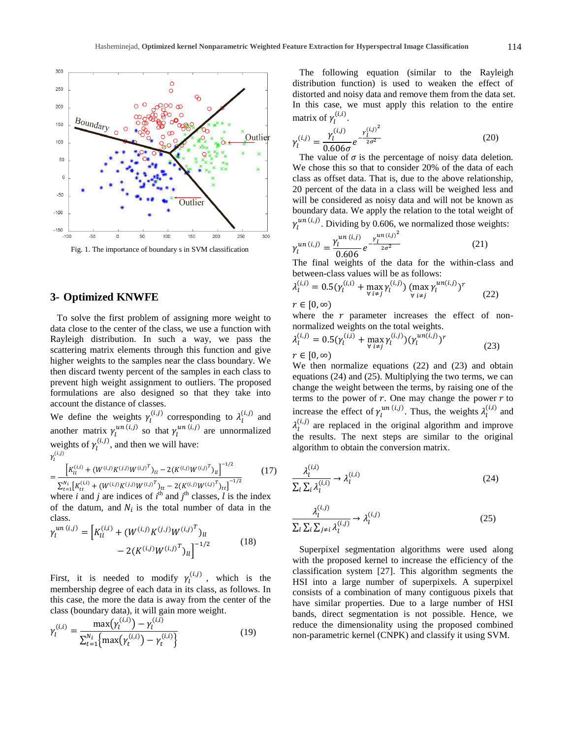

<span id="page-3-0"></span>Fig. 1. The importance of boundary s in SVM classification

# **3- Optimized KNWFE**

To solve the first problem of assigning more weight to data close to the center of the class, we use a function with Rayleigh distribution. In such a way, we pass the scattering matrix elements through this function and give higher weights to the samples near the class boundary. We then discard twenty percent of the samples in each class to prevent high weight assignment to outliers. The proposed formulations are also designed so that they take into account the distance of classes.

We define the weights  $\gamma_l^{(i,j)}$  corresponding to  $\lambda_l^{(i,j)}$  and another matrix  $\gamma_l^{un (i,j)}$  so that  $\gamma_l^{un (i,j)}$  are unnormalized weights of  $\gamma_l^{(i,j)}$ , and then we will have:  $\gamma_1^{(i,j)}$ 

$$
= \frac{\left[K_{ll}^{(i,i)} + (W^{(i,j)}K^{(j,j)}W^{(i,j)^T})_{ll} - 2(K^{(i,j)}W^{(i,j)^T})_{ll}\right]^{-1/2}}{\sum_{t=1}^{N_i} \left[K_{tt}^{(i,i)} + (W^{(i,j)}K^{(j,j)}W^{(i,j)^T})_{tt} - 2(K^{(i,j)}W^{(i,j)^T})_{tt}\right]^{-1/2}}
$$
(17)

 $\sum_{t=1}^{N_i} [K_{tt}^{(i,i)} + (W^{(i,j)}K^{(j,j)}W^{(i,j)^T})_{tt} - 2(K^{(i,j)}W^{(i,j)^T})_{tt}]^{-1/2}$ <br>where *i* and *j* are indices of *i*<sup>th</sup> and *j*<sup>th</sup> classes, *l* is the index of the datum, and  $N_i$  is the total number of data in the class.

$$
\gamma_l^{un (i,j)} = \left[ K_{ll}^{(i,i)} + (W^{(i,j)} K^{(j,j)} W^{(i,j)^T})_{ll} - 2 (K^{(i,j)} W^{(i,j)^T})_{ll} \right]^{-1/2}
$$
(18)

First, it is needed to modify  $\gamma_l^{(i,j)}$ , which is the membership degree of each data in its class, as follows. In this case, the more the data is away from the center of the class (boundary data), it will gain more weight.

$$
\gamma_l^{(i,i)} = \frac{\max(\gamma_l^{(i,i)}) - \gamma_l^{(i,i)}}{\sum_{t=1}^{N_i} \{\max(\gamma_t^{(i,i)}) - \gamma_t^{(i,i)}\}}
$$
(19)

The following equation (similar to the Rayleigh distribution function) is used to weaken the effect of distorted and noisy data and remove them from the data set. In this case, we must apply this relation to the entire matrix of  $\gamma_l^{(i,i)}$ .

$$
\gamma_l^{(i,j)} = \frac{\gamma_l^{(i,j)}}{0.606\sigma} e^{-\frac{\gamma_l^{(i,j)^2}}{2\sigma^2}}
$$
(20)

The value of  $\sigma$  is the percentage of noisy data deletion. We chose this so that to consider 20% of the data of each class as offset data. That is, due to the above relationship, 20 percent of the data in a class will be weighed less and will be considered as noisy data and will not be known as boundary data. We apply the relation to the total weight of  $\gamma_l^{un (i,j)}$ . Dividing by 0.606, we normalized those weights:

$$
\gamma_l^{un\,(i,j)} = \frac{\gamma_l^{un\,(i,j)}}{0.606} \, e^{-\frac{\gamma_l^{un\,(i,j)}^2}{2\sigma^2}} \tag{21}
$$

The final weights of the data for the within-class and between-class values will be as follows:

$$
\lambda_l^{(i,i)} = 0.5(\gamma_l^{(i,i)} + \max_{\forall i \neq j} \gamma_l^{(i,j)}) (\max_{\forall i \neq j} \gamma_l^{un(i,j)})^r
$$
(22)

 $r \in [0, \infty)$ 

where the  $r$  parameter increases the effect of nonnormalized weights on the total weights.

$$
\lambda_l^{(i,j)} = 0.5(\gamma_l^{(i,i)} + \max_{\forall i \neq j} \gamma_l^{(i,j)})(\gamma_l^{un(i,j)})^r
$$
  
\n
$$
r \in [0, \infty)
$$
\n(23)

We then normalize equations (22) and (23) and obtain equations (24) and (25). Multiplying the two terms, we can change the weight between the terms, by raising one of the terms to the power of  $r$ . One may change the power  $r$  to increase the effect of  $\gamma_l^{un (i,j)}$ . Thus, the weights  $\lambda_l^{(i,i)}$  and  $\lambda_1^{(i,j)}$  are replaced in the original algorithm and improve the results. The next steps are similar to the original algorithm to obtain the conversion matrix.

$$
\frac{\lambda_l^{(i,i)}}{\sum_l \sum_i \lambda_l^{(i,i)}} \to \lambda_l^{(i,i)}
$$
\n(24)

$$
\frac{\lambda_l^{(i,j)}}{\sum_l \sum_i \sum_{j \neq i} \lambda_l^{(i,j)}} \to \lambda_l^{(i,j)}
$$
\n(25)

Superpixel segmentation algorithms were used along with the proposed kernel to increase the efficiency of the classification system [27]. This algorithm segments the HSI into a large number of superpixels. A superpixel consists of a combination of many contiguous pixels that have similar properties. Due to a large number of HSI bands, direct segmentation is not possible. Hence, we reduce the dimensionality using the proposed combined non-parametric kernel (CNPK) and classify it using SVM.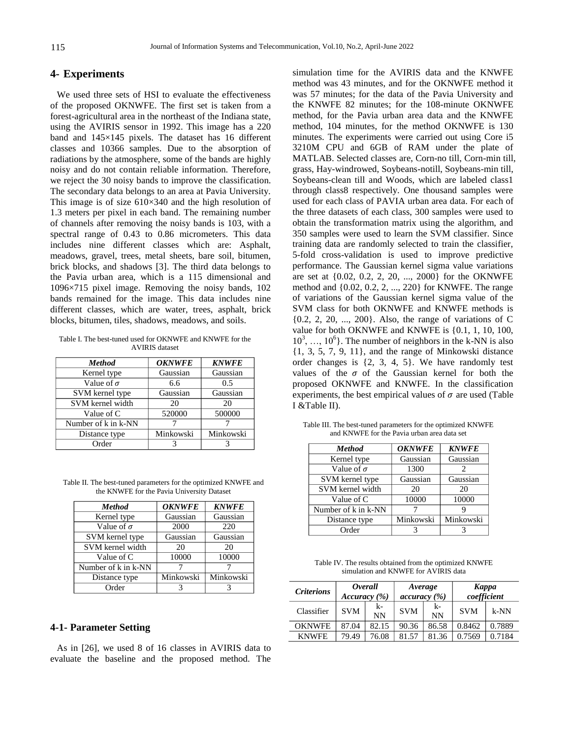## **4- Experiments**

We used three sets of HSI to evaluate the effectiveness of the proposed OKNWFE. The first set is taken from a forest-agricultural area in the northeast of the Indiana state, using the AVIRIS sensor in 1992. This image has a 220 band and 145×145 pixels. The dataset has 16 different classes and 10366 samples. Due to the absorption of radiations by the atmosphere, some of the bands are highly noisy and do not contain reliable information. Therefore, we reject the 30 noisy bands to improve the classification. The secondary data belongs to an area at Pavia University. This image is of size 610×340 and the high resolution of 1.3 meters per pixel in each band. The remaining number of channels after removing the noisy bands is 103, with a spectral range of 0.43 to 0.86 micrometers. This data includes nine different classes which are: Asphalt, meadows, gravel, trees, metal sheets, bare soil, bitumen, brick blocks, and shadows [3]. The third data belongs to the Pavia urban area, which is a 115 dimensional and 1096×715 pixel image. Removing the noisy bands, 102 bands remained for the image. This data includes nine different classes, which are water, trees, asphalt, brick blocks, bitumen, tiles, shadows, meadows, and soils.

<span id="page-4-0"></span>Table I. The best-tuned used for OKNWFE and KNWFE for the AVIRIS dataset

| <b>Method</b>       | <b>OKNWFE</b> | <b>KNWFE</b> |
|---------------------|---------------|--------------|
| Kernel type         | Gaussian      | Gaussian     |
| Value of $\sigma$   | 6.6           | 0.5          |
| SVM kernel type     | Gaussian      | Gaussian     |
| SVM kernel width    | 20            | 20           |
| Value of C          | 520000        | 500000       |
| Number of k in k-NN |               |              |
| Distance type       | Minkowski     | Minkowski    |
| Order               |               |              |

<span id="page-4-1"></span>

| Table II. The best-tuned parameters for the optimized KNWFE and |
|-----------------------------------------------------------------|
| the KNWFE for the Pavia University Dataset                      |

| <b>Method</b>       | <b>OKNWFE</b> | <b>KNWFE</b> |
|---------------------|---------------|--------------|
| Kernel type         | Gaussian      | Gaussian     |
| Value of $\sigma$   | 2000          | 220          |
| SVM kernel type     | Gaussian      | Gaussian     |
| SVM kernel width    | 20            | 20           |
| Value of C          | 10000         | 10000        |
| Number of k in k-NN |               |              |
| Distance type       | Minkowski     | Minkowski    |
| Order               |               |              |

#### **4-1- Parameter Setting**

As in [26], we used 8 of 16 classes in AVIRIS data to evaluate the baseline and the proposed method. The

simulation time for the AVIRIS data and the KNWFE method was 43 minutes, and for the OKNWFE method it was 57 minutes; for the data of the Pavia University and the KNWFE 82 minutes; for the 108-minute OKNWFE method, for the Pavia urban area data and the KNWFE method, 104 minutes, for the method OKNWFE is 130 minutes. The experiments were carried out using Core i5 3210M CPU and 6GB of RAM under the plate of MATLAB. Selected classes are, Corn-no till, Corn-min till, grass, Hay-windrowed, Soybeans-notill, Soybeans-min till, Soybeans-clean till and Woods, which are labeled class1 through class8 respectively. One thousand samples were used for each class of PAVIA urban area data. For each of the three datasets of each class, 300 samples were used to obtain the transformation matrix using the algorithm, and 350 samples were used to learn the SVM classifier. Since training data are randomly selected to train the classifier, 5-fold cross-validation is used to improve predictive performance. The Gaussian kernel sigma value variations are set at {0.02, 0.2, 2, 20, ..., 2000} for the OKNWFE method and {0.02, 0.2, 2, ..., 220} for KNWFE. The range of variations of the Gaussian kernel sigma value of the SVM class for both OKNWFE and KNWFE methods is {0.2, 2, 20, ..., 200}. Also, the range of variations of C value for both OKNWFE and KNWFE is {0.1, 1, 10, 100,  $10^3, \ldots, 10^6$ . The number of neighbors in the k-NN is also {1, 3, 5, 7, 9, 11}, and the range of Minkowski distance order changes is {2, 3, 4, 5}. We have randomly test values of the  $\sigma$  of the Gaussian kernel for both the proposed OKNWFE and KNWFE. In the classification experiments, the best empirical values of  $\sigma$  are used (Table [I](#page-4-0) [&Table II\)](#page-4-1).

| <b>Method</b>       | <b>OKNWFE</b> | <b>KNWFE</b> |
|---------------------|---------------|--------------|
| Kernel type         | Gaussian      | Gaussian     |
| Value of $\sigma$   | 1300          | 2            |
| SVM kernel type     | Gaussian      | Gaussian     |
| SVM kernel width    | 20            | 20           |
| Value of C          | 10000         | 10000        |
| Number of k in k-NN |               |              |
| Distance type       | Minkowski     | Minkowski    |
| Order               |               |              |

<span id="page-4-2"></span>Table III. The best-tuned parameters for the optimized KNWFE and KNWFE for the Pavia urban area data set

<span id="page-4-3"></span>Table IV. The results obtained from the optimized KNWFE simulation and KNWFE for AVIRIS data

| <b>Criterions</b> | Accuracy (%) | <i>Overall</i>    | Average<br>accuracy (%) |                 | Kappa      | coefficient |
|-------------------|--------------|-------------------|-------------------------|-----------------|------------|-------------|
| Classifier        | <b>SVM</b>   | $k-$<br><b>NN</b> | <b>SVM</b>              | k-<br><b>NN</b> | <b>SVM</b> | $k-NN$      |
| <b>OKNWFE</b>     | 87.04        | 82.15             | 90.36                   | 86.58           | 0.8462     | 0.7889      |
| <b>KNWFE</b>      | 79.49        | 76.08             | 81.57                   | 81.36           | 0.7569     | 0.7184      |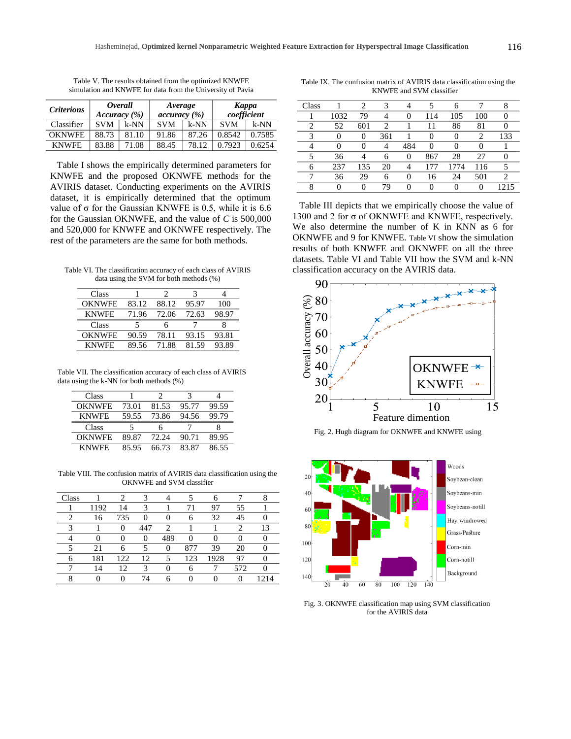| <b>Criterions</b> | Overall<br>Accuracy (%) |        | Average<br>accuracy (%) |        | <b>Kappa</b><br>coefficient |        |  |
|-------------------|-------------------------|--------|-------------------------|--------|-----------------------------|--------|--|
| Classifier        | <b>SVM</b>              | $k-NN$ | <b>SVM</b>              | $k-NN$ | <b>SVM</b>                  | $k-NN$ |  |
| <b>OKNWFE</b>     | 88.73                   | 81.10  | 91.86                   | 87.26  | 0.8542                      | 0.7585 |  |
| <b>KNWFE</b>      | 83.88                   | 71.08  | 88.45                   | 78.12  | 0.7923                      | 0.6254 |  |

Table V. The results obtained from the optimized KNWFE simulation and KNWFE for data from the University of Pavia

[Table I](#page-4-0) shows the empirically determined parameters for KNWFE and the proposed OKNWFE methods for the AVIRIS dataset. Conducting experiments on the AVIRIS dataset, it is empirically determined that the optimum value of  $σ$  for the Gaussian KNWFE is 0.5, while it is 6.6 for the Gaussian OKNWFE, and the value of *C* is 500,000 and 520,000 for KNWFE and OKNWFE respectively. The rest of the parameters are the same for both methods.

<span id="page-5-0"></span>Table VI. The classification accuracy of each class of AVIRIS data using the SVM for both methods (%)

| Class         |       |       |       |       |
|---------------|-------|-------|-------|-------|
| <b>OKNWFE</b> | 83.12 | 88.12 | 95.97 | 100   |
| <b>KNWFE</b>  | 71.96 | 72.06 | 72.63 | 98.97 |
|               |       |       |       |       |
| Class         |       |       |       |       |
| <b>OKNWFE</b> | 90.59 | 78.11 | 93.15 | 93.81 |

<span id="page-5-1"></span>Table VII. The classification accuracy of each class of AVIRIS data using the k-NN for both methods (%)

| Class         |       | 7     | 3     |       |
|---------------|-------|-------|-------|-------|
| <b>OKNWFE</b> | 73.01 | 81.53 | 95.77 | 99.59 |
| <b>KNWFE</b>  | 59.55 | 73.86 | 94.56 | 99.79 |
| Class         | 5     | h     |       |       |
| <b>OKNWFE</b> | 89.87 | 72.24 | 90.71 | 89.95 |
| <b>KNWFE</b>  | 85.95 | 66.73 | 83.87 | 86.55 |

<span id="page-5-2"></span>Table VIII. The confusion matrix of AVIRIS data classification using the OKNWFE and SVM classifier

| Class |      | 2                 | 3                 |     |     | 6        |     |    |
|-------|------|-------------------|-------------------|-----|-----|----------|-----|----|
|       | 1192 | 14                | 3                 |     | 71  | 97       | 55  |    |
| っ     | 16   | 735               | $\mathbf{\Omega}$ |     | 6   | 32       | 45  |    |
| 2     |      | $\mathbf{\Omega}$ | 447               | 2   |     |          |     | 13 |
|       | 0    | O                 | 0                 | 489 | ∩   | 0        |     |    |
|       | 21   | 6                 | 5                 | 0   | 877 | 39       | 20  |    |
|       | 181  | 122               | 12                | 5   | 123 | 1928     | 97  |    |
|       | 14   | 12                | 3                 |     | 6   |          | 572 |    |
| Q     | 0    |                   | 74                | 6   | 0   | $\theta$ |     |    |

<span id="page-5-3"></span>Table IX. The confusion matrix of AVIRIS data classification using the KNWFE and SVM classifier

| Class |          | 2   | 3   |          |        | 6    |          | 8        |
|-------|----------|-----|-----|----------|--------|------|----------|----------|
|       | 1032     | 79  | 4   | 0        | 114    | 105  | 100      | $\theta$ |
| 2     | 52       | 601 | 2   |          | 11     | 86   | 81       | $\theta$ |
| 3     | 0        | 0   | 361 |          | $_{0}$ | 0    | 2        | 133      |
| 4     | $_{0}$   | 0   | 4   | 484      | 0      | 0    | 0        |          |
| 5     | 36       | 4   | 6   | 0        | 867    | 28   | 27       | 0        |
| 6     | 237      | 135 | 20  | 4        | 177    | 1774 | 116      | 5        |
| 7     | 36       | 29  | 6   | $\theta$ | 16     | 24   | 501      | 2        |
| 8     | $\theta$ | 0   | 79  | 0        |        |      | $\theta$ | 1215     |

[Table III](#page-4-2) depicts that we empirically choose the value of 1300 and 2 for σ of OKNWFE and KNWFE, respectively. We also determine the number of K in KNN as 6 for OKNWFE and 9 for KNWFE. [Table VI](#page-5-0) show the simulation results of both KNWFE and OKNWFE on all the three datasets. [Table VI](#page-5-0) and [Table VII](#page-5-1) how the SVM and k-NN classification accuracy on the AVIRIS data.



<span id="page-5-4"></span>Fig. 2. Hugh diagram for OKNWFE and KNWFE using



<span id="page-5-5"></span>Fig. 3. OKNWFE classification map using SVM classification for the AVIRIS data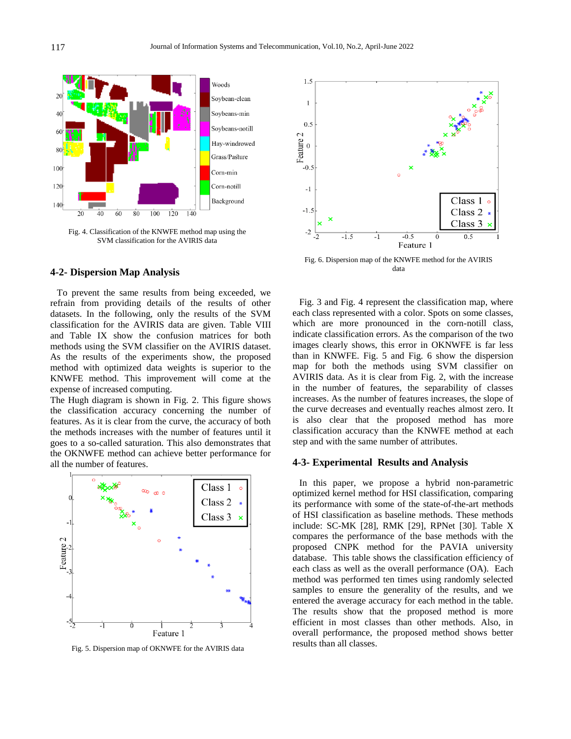

<span id="page-6-0"></span>Fig. 4. Classification of the KNWFE method map using the SVM classification for the AVIRIS data

## **4-2- Dispersion Map Analysis**

To prevent the same results from being exceeded, we refrain from providing details of the results of other datasets. In the following, only the results of the SVM classification for the AVIRIS data are given. [Table VIII](#page-5-2) and [Table IX](#page-5-3) show the confusion matrices for both methods using the SVM classifier on the AVIRIS dataset. As the results of the experiments show, the proposed method with optimized data weights is superior to the KNWFE method. This improvement will come at the expense of increased computing.

The Hugh diagram is shown in [Fig. 2.](#page-5-4) This figure shows the classification accuracy concerning the number of features. As it is clear from the curve, the accuracy of both the methods increases with the number of features until it goes to a so-called saturation. This also demonstrates that the OKNWFE method can achieve better performance for all the number of features.



<span id="page-6-1"></span>Fig. 5. Dispersion map of OKNWFE for the AVIRIS data



<span id="page-6-2"></span>Fig. 6. Dispersion map of the KNWFE method for the AVIRIS data

[Fig. 3](#page-5-5) and [Fig. 4](#page-6-0) represent the classification map, where each class represented with a color. Spots on some classes, which are more pronounced in the corn-notill class, indicate classification errors. As the comparison of the two images clearly shows, this error in OKNWFE is far less than in KNWFE. [Fig. 5](#page-6-1) and [Fig. 6](#page-6-2) show the dispersion map for both the methods using SVM classifier on AVIRIS data. As it is clear from [Fig. 2,](#page-5-4) with the increase in the number of features, the separability of classes increases. As the number of features increases, the slope of the curve decreases and eventually reaches almost zero. It is also clear that the proposed method has more classification accuracy than the KNWFE method at each step and with the same number of attributes.

#### **4-3- Experimental Results and Analysis**

In this paper, we propose a hybrid non-parametric optimized kernel method for HSI classification, comparing its performance with some of the state-of-the-art methods of HSI classification as baseline methods. These methods include: SC-MK [28], RMK [29], RPNet [30]. [Table X](#page-7-0) compares the performance of the base methods with the proposed CNPK method for the PAVIA university database. This table shows the classification efficiency of each class as well as the overall performance (OA). Each method was performed ten times using randomly selected samples to ensure the generality of the results, and we entered the average accuracy for each method in the table. The results show that the proposed method is more efficient in most classes than other methods. Also, in overall performance, the proposed method shows better results than all classes.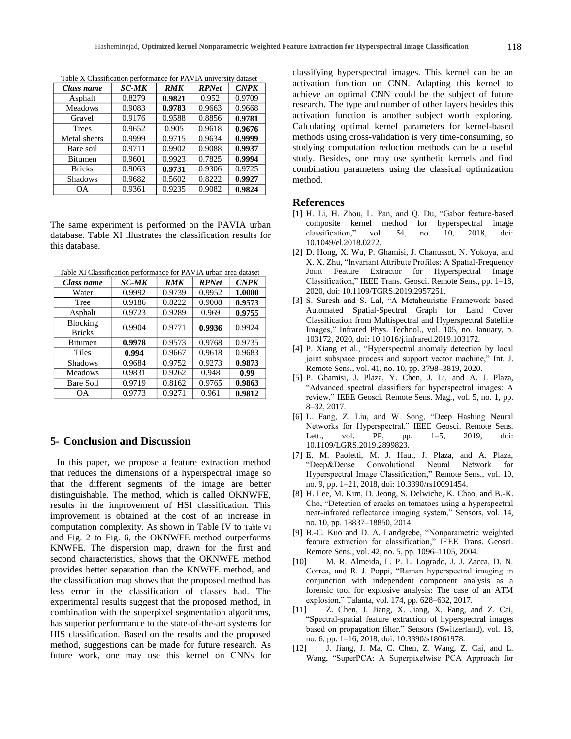| Class name     | <b>SC-MK</b> | <b>RMK</b> | <b>RPNet</b> | <b>CNPK</b> |
|----------------|--------------|------------|--------------|-------------|
| Asphalt        | 0.8279       | 0.9821     | 0.952        | 0.9709      |
| <b>Meadows</b> | 0.9083       | 0.9783     | 0.9663       | 0.9668      |
| Gravel         | 0.9176       | 0.9588     | 0.8856       | 0.9781      |
| <b>Trees</b>   | 0.9652       | 0.905      | 0.9618       | 0.9676      |
| Metal sheets   | 0.9999       | 0.9715     | 0.9634       | 0.9999      |
| Bare soil      | 0.9711       | 0.9902     | 0.9088       | 0.9937      |
| <b>Bitumen</b> | 0.9601       | 0.9923     | 0.7825       | 0.9994      |
| <b>Bricks</b>  | 0.9063       | 0.9731     | 0.9306       | 0.9725      |
| <b>Shadows</b> | 0.9682       | 0.5602     | 0.8222       | 0.9927      |
| OΑ             | 0.9361       | 0.9235     | 0.9082       | 0.9824      |

<span id="page-7-0"></span>Table X Classification performance for PAVIA university dataset

The same experiment is performed on the PAVIA urban database. [Table XI](#page-7-1) illustrates the classification results for this database.

<span id="page-7-1"></span>Table XI Classification performance for PAVIA urban area dataset

| Class name     | <b>SC-MK</b> | <b>RMK</b> | <b>RPNet</b> | <b>CNPK</b> |  |
|----------------|--------------|------------|--------------|-------------|--|
| Water          | 0.9992       | 0.9739     | 0.9952       | 1.0000      |  |
| Tree           | 0.9186       | 0.8222     | 0.9008       | 0.9573      |  |
| Asphalt        | 0.9723       | 0.9289     | 0.969        | 0.9755      |  |
| Blocking       | 0.9904       | 0.9771     | 0.9936       | 0.9924      |  |
| <b>Bricks</b>  |              |            |              |             |  |
| <b>Bitumen</b> | 0.9978       | 0.9573     | 0.9768       | 0.9735      |  |
| <b>Tiles</b>   | 0.994        | 0.9667     | 0.9618       | 0.9683      |  |
| <b>Shadows</b> | 0.9684       | 0.9752     | 0.9273       | 0.9873      |  |
| <b>Meadows</b> | 0.9831       | 0.9262     | 0.948        | 0.99        |  |
| Bare Soil      | 0.9719       | 0.8162     | 0.9765       | 0.9863      |  |
| <b>OA</b>      | 0.9773       | 0.9271     | 0.961        | 0.9812      |  |

## **5- Conclusion and Discussion**

In this paper, we propose a feature extraction method that reduces the dimensions of a hyperspectral image so that the different segments of the image are better distinguishable. The method, which is called OKNWFE, results in the improvement of HSI classification. This improvement is obtained at the cost of an increase in computation complexity. As shown in [Table IV](#page-4-3) to [Table VI](#page-5-0) and [Fig. 2](#page-5-4) to [Fig. 6,](#page-6-2) the OKNWFE method outperforms KNWFE. The dispersion map, drawn for the first and second characteristics, shows that the OKNWFE method provides better separation than the KNWFE method, and the classification map shows that the proposed method has less error in the classification of classes had. The experimental results suggest that the proposed method, in combination with the superpixel segmentation algorithms, has superior performance to the state-of-the-art systems for HIS classification. Based on the results and the proposed method, suggestions can be made for future research. As future work, one may use this kernel on CNNs for classifying hyperspectral images. This kernel can be an activation function on CNN. Adapting this kernel to achieve an optimal CNN could be the subject of future research. The type and number of other layers besides this activation function is another subject worth exploring. Calculating optimal kernel parameters for kernel-based methods using cross-validation is very time-consuming, so studying computation reduction methods can be a useful study. Besides, one may use synthetic kernels and find combination parameters using the classical optimization method.

#### **References**

- [1] H. Li, H. Zhou, L. Pan, and Q. Du, "Gabor feature-based composite kernel method for hyperspectral image classification," vol. 54, no. 10, 2018, doi: 10.1049/el.2018.0272.
- [2] D. Hong, X. Wu, P. Ghamisi, J. Chanussot, N. Yokoya, and X. X. Zhu, "Invariant Attribute Profiles: A Spatial-Frequency Joint Feature Extractor for Hyperspectral Image Classification," IEEE Trans. Geosci. Remote Sens., pp. 1–18, 2020, doi: 10.1109/TGRS.2019.2957251.
- [3] S. Suresh and S. Lal, "A Metaheuristic Framework based Automated Spatial-Spectral Graph for Land Cover Classification from Multispectral and Hyperspectral Satellite Images," Infrared Phys. Technol., vol. 105, no. January, p. 103172, 2020, doi: 10.1016/j.infrared.2019.103172.
- [4] P. Xiang et al., "Hyperspectral anomaly detection by local joint subspace process and support vector machine," Int. J. Remote Sens., vol. 41, no. 10, pp. 3798–3819, 2020.
- [5] P. Ghamisi, J. Plaza, Y. Chen, J. Li, and A. J. Plaza, "Advanced spectral classifiers for hyperspectral images: A review," IEEE Geosci. Remote Sens. Mag., vol. 5, no. 1, pp. 8–32, 2017.
- [6] L. Fang, Z. Liu, and W. Song, "Deep Hashing Neural Networks for Hyperspectral," IEEE Geosci. Remote Sens. Lett., vol. PP, pp. 1–5, 2019, doi: 10.1109/LGRS.2019.2899823.
- [7] E. M. Paoletti, M. J. Haut, J. Plaza, and A. Plaza, "Deep&Dense Convolutional Neural Network for Hyperspectral Image Classification," Remote Sens., vol. 10, no. 9, pp. 1–21, 2018, doi: 10.3390/rs10091454.
- [8] H. Lee, M. Kim, D. Jeong, S. Delwiche, K. Chao, and B.-K. Cho, "Detection of cracks on tomatoes using a hyperspectral near-infrared reflectance imaging system," Sensors, vol. 14, no. 10, pp. 18837–18850, 2014.
- [9] B.-C. Kuo and D. A. Landgrebe, "Nonparametric weighted feature extraction for classification," IEEE Trans. Geosci. Remote Sens., vol. 42, no. 5, pp. 1096–1105, 2004.
- [10] M. R. Almeida, L. P. L. Logrado, J. J. Zacca, D. N. Correa, and R. J. Poppi, "Raman hyperspectral imaging in conjunction with independent component analysis as a forensic tool for explosive analysis: The case of an ATM explosion," Talanta, vol. 174, pp. 628–632, 2017.
- [11] Z. Chen, J. Jiang, X. Jiang, X. Fang, and Z. Cai, "Spectral-spatial feature extraction of hyperspectral images based on propagation filter," Sensors (Switzerland), vol. 18, no. 6, pp. 1–16, 2018, doi: 10.3390/s18061978.
- [12] J. Jiang, J. Ma, C. Chen, Z. Wang, Z. Cai, and L. Wang, "SuperPCA: A Superpixelwise PCA Approach for